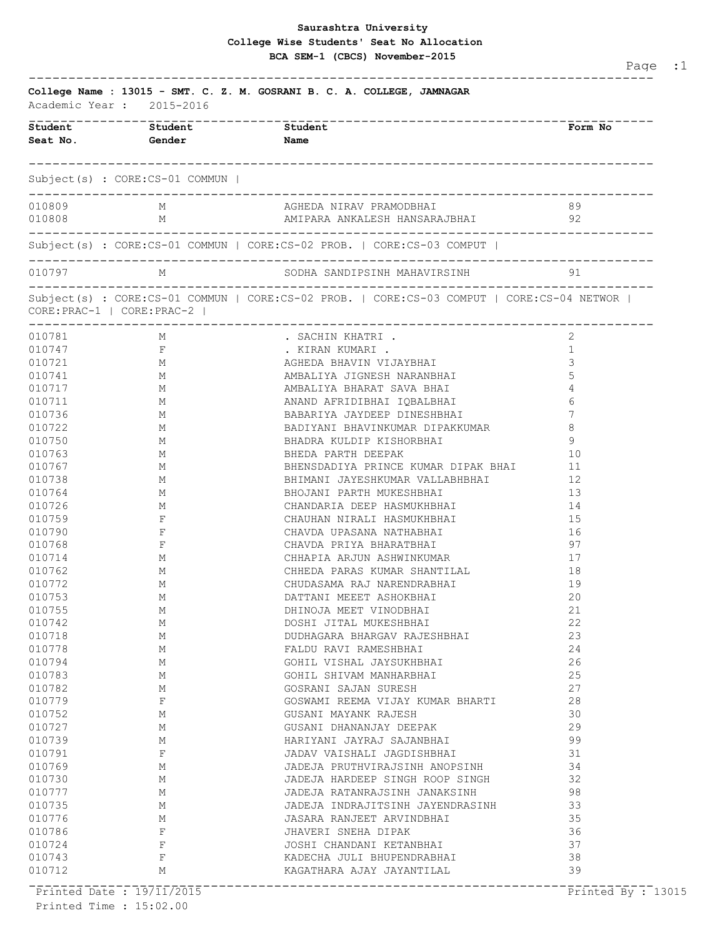## **Saurashtra University BCA SEM-1 (CBCS) November-2015 College Wise Students' Seat No Allocation**

| College Name : 13015 - SMT. C. Z. M. GOSRANI B. C. A. COLLEGE, JAMNAGAR<br>Academic Year: 2015-2016 |                                 |                                                                                           |          |  |  |  |
|-----------------------------------------------------------------------------------------------------|---------------------------------|-------------------------------------------------------------------------------------------|----------|--|--|--|
| ___________________<br>Student                                                                      | Student<br>Seat No. Gender      | <b>Name</b>                                                                               | Form No  |  |  |  |
|                                                                                                     | Subject(s) : CORE:CS-01 COMMUN  |                                                                                           |          |  |  |  |
| 010809                                                                                              | M                               | AGHEDA NIRAV PRAMODBHAI                                                                   | 89       |  |  |  |
| 010808                                                                                              | M                               | AMIPARA ANKALESH HANSARAJBHAI                                                             | -92      |  |  |  |
|                                                                                                     |                                 | $Subject(s)$ : $CORE:CS-01$ COMMUN   CORE:CS-02 PROB.   CORE:CS-03 COMPUT                 |          |  |  |  |
| 010797                                                                                              | M                               | SODHA SANDIPSINH MAHAVIRSINH                                                              | 91       |  |  |  |
|                                                                                                     | $CORE: PRAC-1   CORE: PRAC-2  $ | Subject(s) : CORE:CS-01 COMMUN   CORE:CS-02 PROB.   CORE:CS-03 COMPUT   CORE:CS-04 NETWOR |          |  |  |  |
| 010781                                                                                              | -------------------------<br>M  | . SACHIN KHATRI .                                                                         | 2        |  |  |  |
| 010747                                                                                              | $\mathbf{F}$                    | . KIRAN KUMARI .                                                                          | 1        |  |  |  |
| 010721                                                                                              | M                               | AGHEDA BHAVIN VIJAYBHAI                                                                   | 3        |  |  |  |
| 010741                                                                                              | M                               | AMBALIYA JIGNESH NARANBHAI                                                                |          |  |  |  |
| 010717                                                                                              | M                               | AMBALIYA BHARAT SAVA BHAI                                                                 |          |  |  |  |
| 010711                                                                                              | М                               | ANAND AFRIDIBHAI IOBALBHAI                                                                |          |  |  |  |
| 010736                                                                                              | M                               | BABARIYA JAYDEEP DINESHBHAI                                                               | 7        |  |  |  |
| 010722                                                                                              | М                               | BADIYANI BHAVINKUMAR DIPAKKUMAR                                                           | 8        |  |  |  |
| 010750                                                                                              | М                               | BHADRA KULDIP KISHORBHAI                                                                  | 9        |  |  |  |
| 010763                                                                                              | M                               | BHEDA PARTH DEEPAK                                                                        | 10       |  |  |  |
| 010767                                                                                              | M                               | BHENSDADIYA PRINCE KUMAR DIPAK BHAI                                                       | 11       |  |  |  |
| 010738                                                                                              | М                               | BHIMANI JAYESHKUMAR VALLABHBHAI                                                           | 12       |  |  |  |
| 010764                                                                                              | М                               | BHOJANI PARTH MUKESHBHAI                                                                  | 13       |  |  |  |
| 010726                                                                                              | М                               | CHANDARIA DEEP HASMUKHBHAI                                                                | 14       |  |  |  |
| 010759                                                                                              | F                               | CHAUHAN NIRALI HASMUKHBHAI                                                                | 15       |  |  |  |
| 010790                                                                                              | F                               | CHAVDA UPASANA NATHABHAI                                                                  | 16       |  |  |  |
| 010768                                                                                              | F                               | CHAVDA PRIYA BHARATBHAI                                                                   | 97       |  |  |  |
| 010714                                                                                              | М                               | CHHAPIA ARJUN ASHWINKUMAR                                                                 | 17       |  |  |  |
| 010762                                                                                              | М                               | CHHEDA PARAS KUMAR SHANTILAL                                                              | 18       |  |  |  |
| 010772                                                                                              | М                               | CHUDASAMA RAJ NARENDRABHAI                                                                | 19       |  |  |  |
| 010753                                                                                              | М                               | DATTANI MEEET ASHOKBHAI                                                                   | 20       |  |  |  |
| 010755                                                                                              | М                               | DHINOJA MEET VINODBHAI                                                                    | 21       |  |  |  |
| 010742                                                                                              | М                               | DOSHI JITAL MUKESHBHAI                                                                    | 22       |  |  |  |
| 010718                                                                                              | М                               | DUDHAGARA BHARGAV RAJESHBHAI                                                              | 23       |  |  |  |
| 010778<br>010794                                                                                    | М                               | FALDU RAVI RAMESHBHAI                                                                     | 24<br>26 |  |  |  |
| 010783                                                                                              | М                               | GOHIL VISHAL JAYSUKHBHAI                                                                  | 25       |  |  |  |
| 010782                                                                                              | М<br>М                          | GOHIL SHIVAM MANHARBHAI<br>GOSRANI SAJAN SURESH                                           | 27       |  |  |  |
| 010779                                                                                              | F                               | GOSWAMI REEMA VIJAY KUMAR BHARTI                                                          | 28       |  |  |  |
| 010752                                                                                              | М                               | GUSANI MAYANK RAJESH                                                                      | 30       |  |  |  |
| 010727                                                                                              | М                               | GUSANI DHANANJAY DEEPAK                                                                   | 29       |  |  |  |
| 010739                                                                                              | М                               | HARIYANI JAYRAJ SAJANBHAI                                                                 | 99       |  |  |  |
| 010791                                                                                              | F                               | JADAV VAISHALI JAGDISHBHAI                                                                | 31       |  |  |  |
| 010769                                                                                              | М                               | JADEJA PRUTHVIRAJSINH ANOPSINH                                                            | 34       |  |  |  |
| 010730                                                                                              | М                               | JADEJA HARDEEP SINGH ROOP SINGH                                                           | 32       |  |  |  |
| 010777                                                                                              | М                               | JADEJA RATANRAJSINH JANAKSINH                                                             | 98       |  |  |  |
| 010735                                                                                              | М                               | JADEJA INDRAJITSINH JAYENDRASINH                                                          | 33       |  |  |  |
| 010776                                                                                              | М                               | JASARA RANJEET ARVINDBHAI                                                                 | 35       |  |  |  |
| 010786                                                                                              | F                               | JHAVERI SNEHA DIPAK                                                                       | 36       |  |  |  |
| 010724                                                                                              | F                               | JOSHI CHANDANI KETANBHAI                                                                  | 37       |  |  |  |
| 010743                                                                                              | F                               | KADECHA JULI BHUPENDRABHAI                                                                | 38       |  |  |  |
| 010712                                                                                              | М                               | KAGATHARA AJAY JAYANTILAL                                                                 | 39       |  |  |  |

Page :1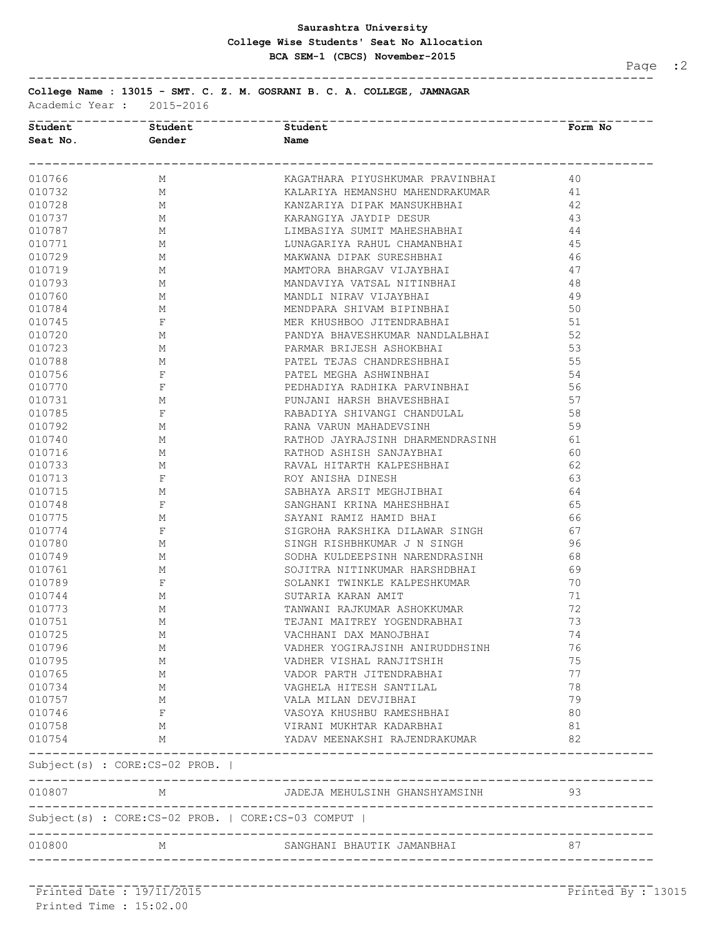## **Saurashtra University BCA SEM-1 (CBCS) November-2015 College Wise Students' Seat No Allocation**

-------------------------------------------------------------------------------

Page :2

**College Name : 13015 - SMT. C. Z. M. GOSRANI B. C. A. COLLEGE, JAMNAGAR**

Academic Year : 2015-2016

|                                                                                                                                                                                                                                             | Student Student               | <b>Student</b>                                                                                                                                                                                                                 | Form No           |
|---------------------------------------------------------------------------------------------------------------------------------------------------------------------------------------------------------------------------------------------|-------------------------------|--------------------------------------------------------------------------------------------------------------------------------------------------------------------------------------------------------------------------------|-------------------|
|                                                                                                                                                                                                                                             | Seat No. 6ender Name          |                                                                                                                                                                                                                                |                   |
|                                                                                                                                                                                                                                             |                               |                                                                                                                                                                                                                                |                   |
| 010766                                                                                                                                                                                                                                      | M                             | KAGATHARA PIYUSHKUMAR PRAVINBHAI                                                                                                                                                                                               | 40                |
| 010732                                                                                                                                                                                                                                      | M                             |                                                                                                                                                                                                                                |                   |
| 010728 M                                                                                                                                                                                                                                    |                               |                                                                                                                                                                                                                                |                   |
| $\begin{array}{cccccc} 010\,737 & & & & M \\ 010\,737 & & & M \\ 010\,787 & & & M \\ 010\,771 & & & M \\ 010\,729 & & & M \\ 010\,719 & & & M \\ \end{array}$                                                                               |                               |                                                                                                                                                                                                                                |                   |
|                                                                                                                                                                                                                                             |                               |                                                                                                                                                                                                                                |                   |
|                                                                                                                                                                                                                                             |                               |                                                                                                                                                                                                                                |                   |
|                                                                                                                                                                                                                                             |                               |                                                                                                                                                                                                                                |                   |
|                                                                                                                                                                                                                                             |                               |                                                                                                                                                                                                                                |                   |
|                                                                                                                                                                                                                                             |                               |                                                                                                                                                                                                                                |                   |
|                                                                                                                                                                                                                                             |                               |                                                                                                                                                                                                                                |                   |
|                                                                                                                                                                                                                                             |                               |                                                                                                                                                                                                                                |                   |
|                                                                                                                                                                                                                                             |                               | KAARIYA HEMANSHU MAHEDEARKUMAR (41 ANARYON MENDERIKI 44 ANARANGIYA JAYDIP DESUR 44 ANARYON JAYDIP DESUR 44 ADMINISHARI 44 ADMINISHARI MANSUKISHAT (45 MAWAMAD DEPAR SURESHBARI 44 ANARYON MENDERIKI 44 ANARYON MENDERIKI MENDE |                   |
|                                                                                                                                                                                                                                             |                               |                                                                                                                                                                                                                                |                   |
|                                                                                                                                                                                                                                             |                               |                                                                                                                                                                                                                                |                   |
|                                                                                                                                                                                                                                             |                               |                                                                                                                                                                                                                                |                   |
|                                                                                                                                                                                                                                             |                               |                                                                                                                                                                                                                                |                   |
|                                                                                                                                                                                                                                             |                               |                                                                                                                                                                                                                                |                   |
|                                                                                                                                                                                                                                             |                               |                                                                                                                                                                                                                                |                   |
|                                                                                                                                                                                                                                             |                               |                                                                                                                                                                                                                                |                   |
|                                                                                                                                                                                                                                             |                               |                                                                                                                                                                                                                                |                   |
|                                                                                                                                                                                                                                             |                               |                                                                                                                                                                                                                                |                   |
| 010792<br>010740<br>010716<br>010716<br>010733<br>010713<br>010715<br>010748<br>F<br>T                                                                                                                                                      |                               |                                                                                                                                                                                                                                |                   |
|                                                                                                                                                                                                                                             |                               |                                                                                                                                                                                                                                |                   |
|                                                                                                                                                                                                                                             |                               |                                                                                                                                                                                                                                |                   |
|                                                                                                                                                                                                                                             |                               |                                                                                                                                                                                                                                |                   |
|                                                                                                                                                                                                                                             |                               |                                                                                                                                                                                                                                |                   |
| $\begin{array}{cccc} 010 \, 748 & & & & \texttt{r} \\ 010775 & & & & \texttt{M} \\ 010774 & & & \texttt{F} \\ 010780 & & & & \texttt{M} \\ 010749 & & & & \texttt{M} \\ 010761 & & & & \texttt{M} \\ 010789 & & & & \texttt{F} \end{array}$ |                               |                                                                                                                                                                                                                                |                   |
|                                                                                                                                                                                                                                             |                               |                                                                                                                                                                                                                                |                   |
|                                                                                                                                                                                                                                             |                               |                                                                                                                                                                                                                                |                   |
|                                                                                                                                                                                                                                             |                               |                                                                                                                                                                                                                                |                   |
|                                                                                                                                                                                                                                             |                               |                                                                                                                                                                                                                                |                   |
|                                                                                                                                                                                                                                             |                               |                                                                                                                                                                                                                                |                   |
| 010744 M                                                                                                                                                                                                                                    |                               |                                                                                                                                                                                                                                |                   |
| 010773 M                                                                                                                                                                                                                                    |                               | TANWANI RAJKUMAR ASHOKKUMAR<br>TEJANI MAITREY YOGENDRABHAI                                                                                                                                                                     | 72                |
| 010751                                                                                                                                                                                                                                      | M                             |                                                                                                                                                                                                                                | 73                |
| 010725                                                                                                                                                                                                                                      | M                             | VACHHANI DAX MANOJBHAI                                                                                                                                                                                                         | 74                |
| 010796                                                                                                                                                                                                                                      | M                             | VADHER YOGIRAJSINH ANIRUDDHSINH                                                                                                                                                                                                | 76                |
| 010795                                                                                                                                                                                                                                      | М                             | VADHER VISHAL RANJITSHIH                                                                                                                                                                                                       | 75                |
| 010765                                                                                                                                                                                                                                      | М                             | VADOR PARTH JITENDRABHAI                                                                                                                                                                                                       | 77                |
| 010734                                                                                                                                                                                                                                      | M                             | VAGHELA HITESH SANTILAL                                                                                                                                                                                                        | 78                |
| 010757                                                                                                                                                                                                                                      | M                             | VALA MILAN DEVJIBHAI                                                                                                                                                                                                           | 79                |
| 010746                                                                                                                                                                                                                                      | F                             | VASOYA KHUSHBU RAMESHBHAI                                                                                                                                                                                                      | 80                |
| 010758                                                                                                                                                                                                                                      | M                             | VIRANI MUKHTAR KADARBHAI                                                                                                                                                                                                       | 81                |
| 010754                                                                                                                                                                                                                                      | M                             | YADAV MEENAKSHI RAJENDRAKUMAR                                                                                                                                                                                                  | 82                |
|                                                                                                                                                                                                                                             | Subject(s) : CORE:CS-02 PROB. |                                                                                                                                                                                                                                |                   |
| 010807                                                                                                                                                                                                                                      | M                             | JADEJA MEHULSINH GHANSHYAMSINH                                                                                                                                                                                                 | 93                |
|                                                                                                                                                                                                                                             |                               | Subject(s) : CORE:CS-02 PROB.   CORE:CS-03 COMPUT                                                                                                                                                                              |                   |
| 010800                                                                                                                                                                                                                                      | M                             | SANGHANI BHAUTIK JAMANBHAI                                                                                                                                                                                                     | 87                |
|                                                                                                                                                                                                                                             |                               |                                                                                                                                                                                                                                |                   |
|                                                                                                                                                                                                                                             | -Printed Date: 19711/2015     |                                                                                                                                                                                                                                | Printed By: 13015 |

Printed Time : 15:02.00